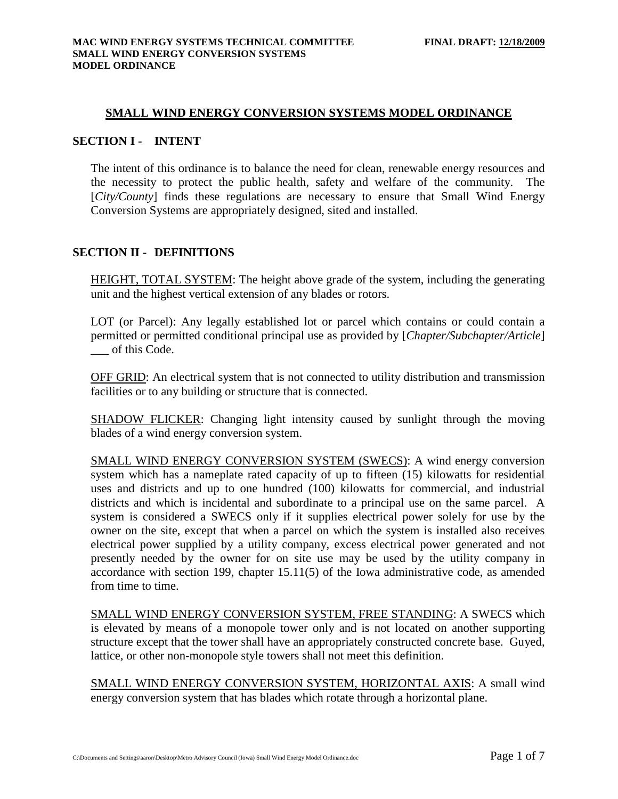#### **SMALL WIND ENERGY CONVERSION SYSTEMS MODEL ORDINANCE**

### **SECTION I - INTENT**

The intent of this ordinance is to balance the need for clean, renewable energy resources and the necessity to protect the public health, safety and welfare of the community. The [*City/County*] finds these regulations are necessary to ensure that Small Wind Energy Conversion Systems are appropriately designed, sited and installed.

### **SECTION II - DEFINITIONS**

HEIGHT, TOTAL SYSTEM: The height above grade of the system, including the generating unit and the highest vertical extension of any blades or rotors.

LOT (or Parcel): Any legally established lot or parcel which contains or could contain a permitted or permitted conditional principal use as provided by [*Chapter/Subchapter/Article*] of this Code.

OFF GRID: An electrical system that is not connected to utility distribution and transmission facilities or to any building or structure that is connected.

SHADOW FLICKER: Changing light intensity caused by sunlight through the moving blades of a wind energy conversion system.

SMALL WIND ENERGY CONVERSION SYSTEM (SWECS): A wind energy conversion system which has a nameplate rated capacity of up to fifteen (15) kilowatts for residential uses and districts and up to one hundred (100) kilowatts for commercial, and industrial districts and which is incidental and subordinate to a principal use on the same parcel. A system is considered a SWECS only if it supplies electrical power solely for use by the owner on the site, except that when a parcel on which the system is installed also receives electrical power supplied by a utility company, excess electrical power generated and not presently needed by the owner for on site use may be used by the utility company in accordance with section 199, chapter 15.11(5) of the Iowa administrative code, as amended from time to time.

SMALL WIND ENERGY CONVERSION SYSTEM, FREE STANDING: A SWECS which is elevated by means of a monopole tower only and is not located on another supporting structure except that the tower shall have an appropriately constructed concrete base. Guyed, lattice, or other non-monopole style towers shall not meet this definition.

SMALL WIND ENERGY CONVERSION SYSTEM, HORIZONTAL AXIS: A small wind energy conversion system that has blades which rotate through a horizontal plane.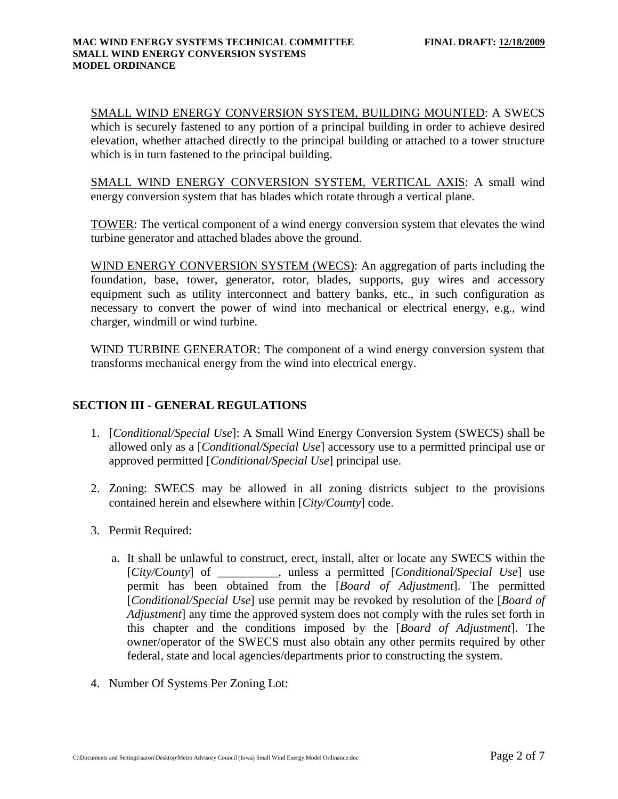### SMALL WIND ENERGY CONVERSION SYSTEM, BUILDING MOUNTED: A SWECS

which is securely fastened to any portion of a principal building in order to achieve desired elevation, whether attached directly to the principal building or attached to a tower structure which is in turn fastened to the principal building.

SMALL WIND ENERGY CONVERSION SYSTEM, VERTICAL AXIS: A small wind energy conversion system that has blades which rotate through a vertical plane.

TOWER: The vertical component of a wind energy conversion system that elevates the wind turbine generator and attached blades above the ground.

WIND ENERGY CONVERSION SYSTEM (WECS): An aggregation of parts including the foundation, base, tower, generator, rotor, blades, supports, guy wires and accessory equipment such as utility interconnect and battery banks, etc., in such configuration as necessary to convert the power of wind into mechanical or electrical energy, e.g., wind charger, windmill or wind turbine.

WIND TURBINE GENERATOR: The component of a wind energy conversion system that transforms mechanical energy from the wind into electrical energy.

## **SECTION III - GENERAL REGULATIONS**

- 1. [*Conditional/Special Use*]: A Small Wind Energy Conversion System (SWECS) shall be allowed only as a [*Conditional/Special Use*] accessory use to a permitted principal use or approved permitted [*Conditional/Special Use*] principal use.
- 2. Zoning: SWECS may be allowed in all zoning districts subject to the provisions contained herein and elsewhere within [*City/County*] code.
- 3. Permit Required:
	- a. It shall be unlawful to construct, erect, install, alter or locate any SWECS within the [*City/County*] of \_\_\_\_\_\_\_\_\_\_, unless a permitted [*Conditional/Special Use*] use permit has been obtained from the [*Board of Adjustment*]. The permitted [*Conditional/Special Use*] use permit may be revoked by resolution of the [*Board of Adjustment*] any time the approved system does not comply with the rules set forth in this chapter and the conditions imposed by the [*Board of Adjustment*]. The owner/operator of the SWECS must also obtain any other permits required by other federal, state and local agencies/departments prior to constructing the system.
- 4. Number Of Systems Per Zoning Lot: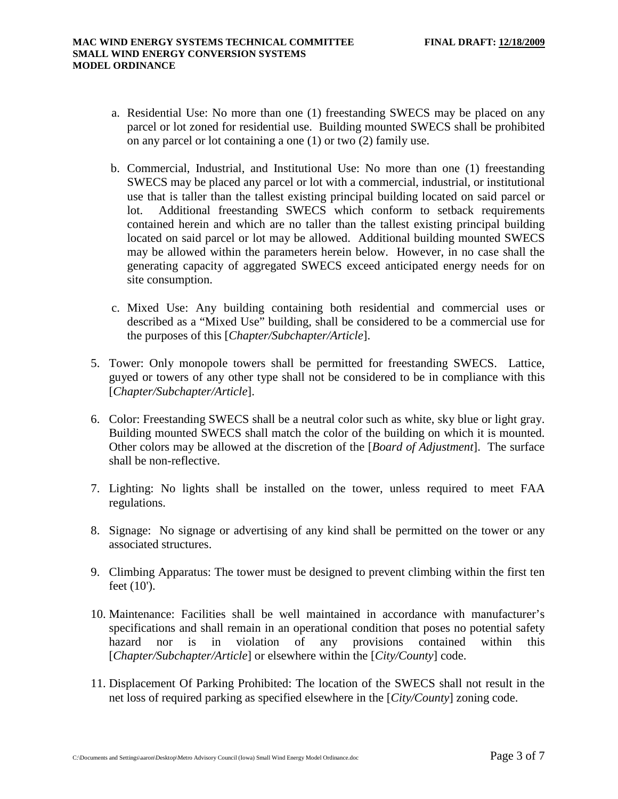- a. Residential Use: No more than one (1) freestanding SWECS may be placed on any parcel or lot zoned for residential use. Building mounted SWECS shall be prohibited on any parcel or lot containing a one (1) or two (2) family use.
- b. Commercial, Industrial, and Institutional Use: No more than one (1) freestanding SWECS may be placed any parcel or lot with a commercial, industrial, or institutional use that is taller than the tallest existing principal building located on said parcel or lot. Additional freestanding SWECS which conform to setback requirements contained herein and which are no taller than the tallest existing principal building located on said parcel or lot may be allowed. Additional building mounted SWECS may be allowed within the parameters herein below. However, in no case shall the generating capacity of aggregated SWECS exceed anticipated energy needs for on site consumption.
- c. Mixed Use: Any building containing both residential and commercial uses or described as a "Mixed Use" building, shall be considered to be a commercial use for the purposes of this [*Chapter/Subchapter/Article*].
- 5. Tower: Only monopole towers shall be permitted for freestanding SWECS. Lattice, guyed or towers of any other type shall not be considered to be in compliance with this [*Chapter/Subchapter/Article*].
- 6. Color: Freestanding SWECS shall be a neutral color such as white, sky blue or light gray. Building mounted SWECS shall match the color of the building on which it is mounted. Other colors may be allowed at the discretion of the [*Board of Adjustment*]. The surface shall be non-reflective.
- 7. Lighting: No lights shall be installed on the tower, unless required to meet FAA regulations.
- 8. Signage: No signage or advertising of any kind shall be permitted on the tower or any associated structures.
- 9. Climbing Apparatus: The tower must be designed to prevent climbing within the first ten feet (10').
- 10. Maintenance: Facilities shall be well maintained in accordance with manufacturer's specifications and shall remain in an operational condition that poses no potential safety hazard nor is in violation of any provisions contained within this [*Chapter/Subchapter/Article*] or elsewhere within the [*City/County*] code.
- 11. Displacement Of Parking Prohibited: The location of the SWECS shall not result in the net loss of required parking as specified elsewhere in the [*City/County*] zoning code.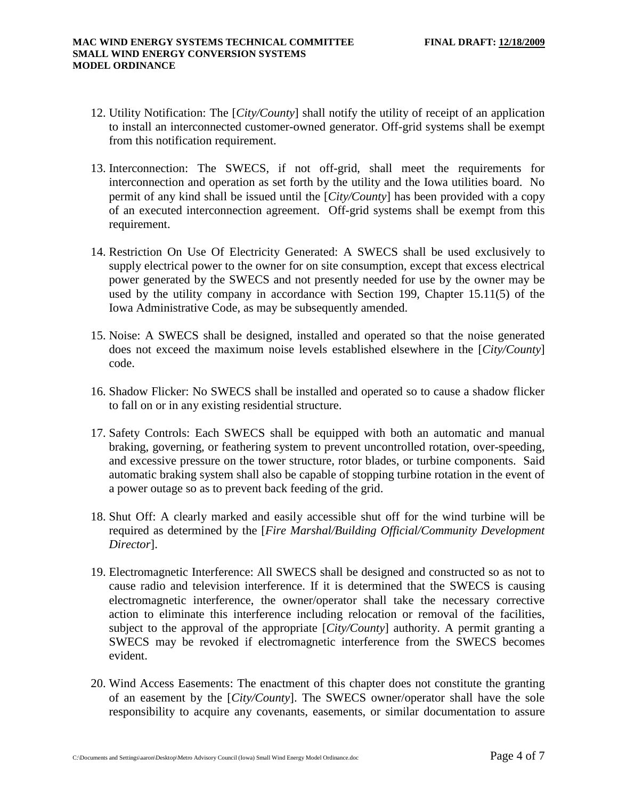- 12. Utility Notification: The [*City/County*] shall notify the utility of receipt of an application to install an interconnected customer-owned generator. Off-grid systems shall be exempt from this notification requirement.
- 13. Interconnection: The SWECS, if not off-grid, shall meet the requirements for interconnection and operation as set forth by the utility and the Iowa utilities board. No permit of any kind shall be issued until the [*City/County*] has been provided with a copy of an executed interconnection agreement. Off-grid systems shall be exempt from this requirement.
- 14. Restriction On Use Of Electricity Generated: A SWECS shall be used exclusively to supply electrical power to the owner for on site consumption, except that excess electrical power generated by the SWECS and not presently needed for use by the owner may be used by the utility company in accordance with Section 199, Chapter 15.11(5) of the Iowa Administrative Code, as may be subsequently amended.
- 15. Noise: A SWECS shall be designed, installed and operated so that the noise generated does not exceed the maximum noise levels established elsewhere in the [*City/County*] code.
- 16. Shadow Flicker: No SWECS shall be installed and operated so to cause a shadow flicker to fall on or in any existing residential structure.
- 17. Safety Controls: Each SWECS shall be equipped with both an automatic and manual braking, governing, or feathering system to prevent uncontrolled rotation, over-speeding, and excessive pressure on the tower structure, rotor blades, or turbine components. Said automatic braking system shall also be capable of stopping turbine rotation in the event of a power outage so as to prevent back feeding of the grid.
- 18. Shut Off: A clearly marked and easily accessible shut off for the wind turbine will be required as determined by the [*Fire Marshal/Building Official/Community Development Director*].
- 19. Electromagnetic Interference: All SWECS shall be designed and constructed so as not to cause radio and television interference. If it is determined that the SWECS is causing electromagnetic interference, the owner/operator shall take the necessary corrective action to eliminate this interference including relocation or removal of the facilities, subject to the approval of the appropriate [*City/County*] authority. A permit granting a SWECS may be revoked if electromagnetic interference from the SWECS becomes evident.
- 20. Wind Access Easements: The enactment of this chapter does not constitute the granting of an easement by the [*City/County*]. The SWECS owner/operator shall have the sole responsibility to acquire any covenants, easements, or similar documentation to assure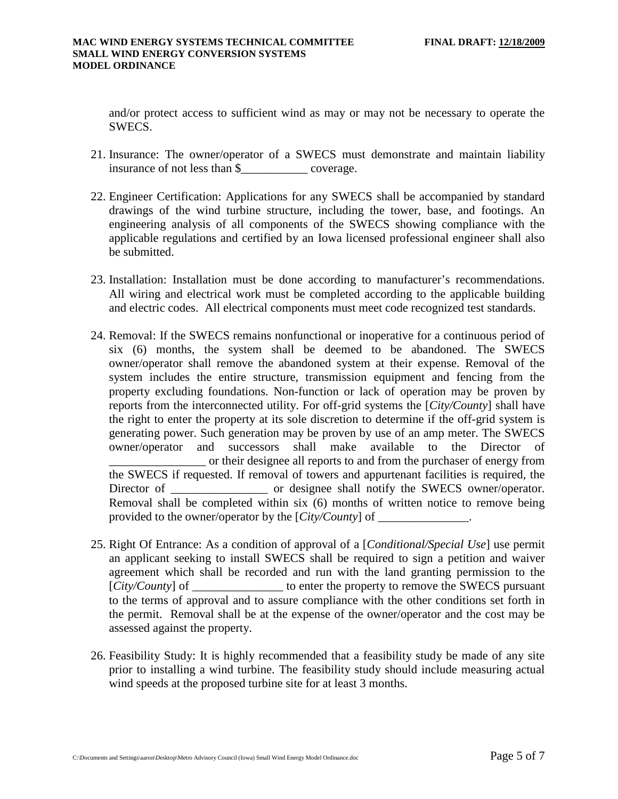and/or protect access to sufficient wind as may or may not be necessary to operate the SWECS.

- 21. Insurance: The owner/operator of a SWECS must demonstrate and maintain liability insurance of not less than \$ coverage.
- 22. Engineer Certification: Applications for any SWECS shall be accompanied by standard drawings of the wind turbine structure, including the tower, base, and footings. An engineering analysis of all components of the SWECS showing compliance with the applicable regulations and certified by an Iowa licensed professional engineer shall also be submitted.
- 23. Installation: Installation must be done according to manufacturer's recommendations. All wiring and electrical work must be completed according to the applicable building and electric codes. All electrical components must meet code recognized test standards.
- 24. Removal: If the SWECS remains nonfunctional or inoperative for a continuous period of six (6) months, the system shall be deemed to be abandoned. The SWECS owner/operator shall remove the abandoned system at their expense. Removal of the system includes the entire structure, transmission equipment and fencing from the property excluding foundations. Non-function or lack of operation may be proven by reports from the interconnected utility. For off-grid systems the [*City/County*] shall have the right to enter the property at its sole discretion to determine if the off-grid system is generating power. Such generation may be proven by use of an amp meter. The SWECS owner/operator and successors shall make available to the Director of \_\_\_\_\_\_\_\_\_\_\_\_\_\_\_\_ or their designee all reports to and from the purchaser of energy from the SWECS if requested. If removal of towers and appurtenant facilities is required, the Director of or designee shall notify the SWECS owner/operator. Removal shall be completed within six (6) months of written notice to remove being provided to the owner/operator by the [*City/County*] of \_\_\_\_\_\_\_\_\_\_\_\_\_\_\_.
- 25. Right Of Entrance: As a condition of approval of a [*Conditional/Special Use*] use permit an applicant seeking to install SWECS shall be required to sign a petition and waiver agreement which shall be recorded and run with the land granting permission to the [*City/County*] of \_\_\_\_\_\_\_\_\_\_\_\_\_\_\_ to enter the property to remove the SWECS pursuant to the terms of approval and to assure compliance with the other conditions set forth in the permit. Removal shall be at the expense of the owner/operator and the cost may be assessed against the property.
- 26. Feasibility Study: It is highly recommended that a feasibility study be made of any site prior to installing a wind turbine. The feasibility study should include measuring actual wind speeds at the proposed turbine site for at least 3 months.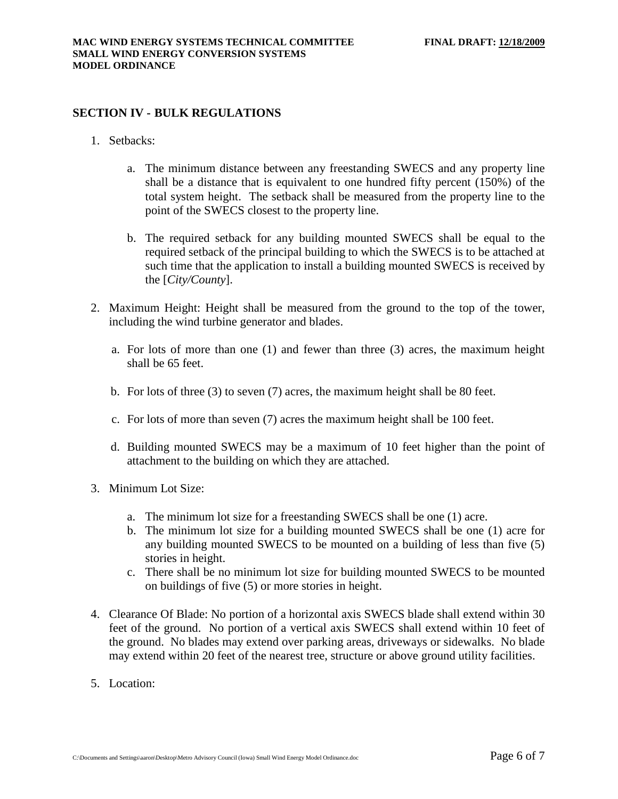## **SECTION IV - BULK REGULATIONS**

- 1. Setbacks:
	- a. The minimum distance between any freestanding SWECS and any property line shall be a distance that is equivalent to one hundred fifty percent (150%) of the total system height. The setback shall be measured from the property line to the point of the SWECS closest to the property line.
	- b. The required setback for any building mounted SWECS shall be equal to the required setback of the principal building to which the SWECS is to be attached at such time that the application to install a building mounted SWECS is received by the [*City/County*].
- 2. Maximum Height: Height shall be measured from the ground to the top of the tower, including the wind turbine generator and blades.
	- a. For lots of more than one (1) and fewer than three (3) acres, the maximum height shall be 65 feet.
	- b. For lots of three (3) to seven (7) acres, the maximum height shall be 80 feet.
	- c. For lots of more than seven (7) acres the maximum height shall be 100 feet.
	- d. Building mounted SWECS may be a maximum of 10 feet higher than the point of attachment to the building on which they are attached.
- 3. Minimum Lot Size:
	- a. The minimum lot size for a freestanding SWECS shall be one (1) acre.
	- b. The minimum lot size for a building mounted SWECS shall be one (1) acre for any building mounted SWECS to be mounted on a building of less than five (5) stories in height.
	- c. There shall be no minimum lot size for building mounted SWECS to be mounted on buildings of five (5) or more stories in height.
- 4. Clearance Of Blade: No portion of a horizontal axis SWECS blade shall extend within 30 feet of the ground. No portion of a vertical axis SWECS shall extend within 10 feet of the ground. No blades may extend over parking areas, driveways or sidewalks. No blade may extend within 20 feet of the nearest tree, structure or above ground utility facilities.
- 5. Location: